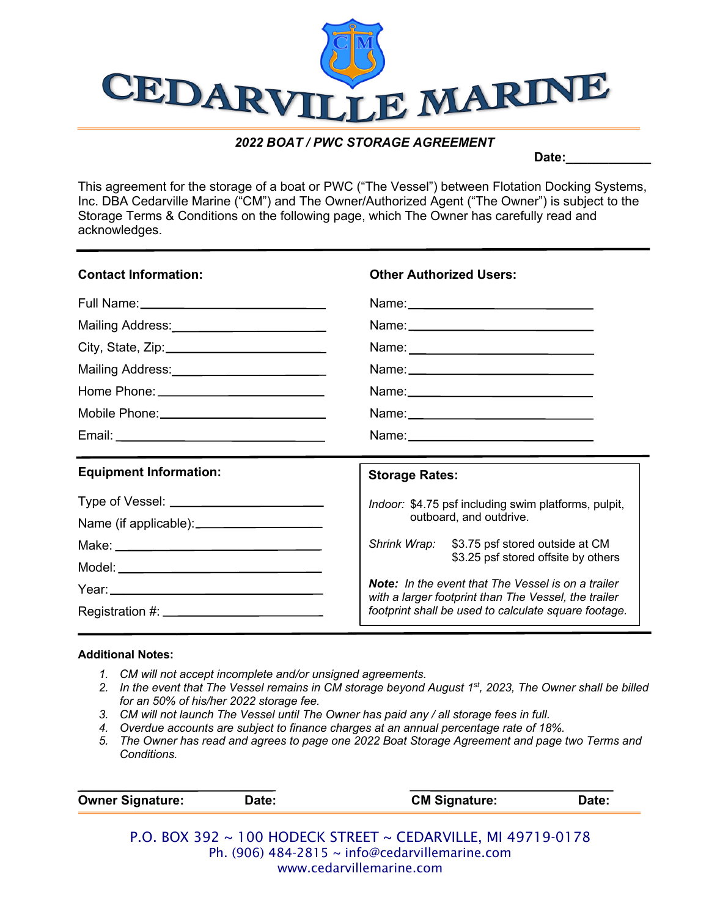

## *2022 BOAT / PWC STORAGE AGREEMENT*

Date:

This agreement for the storage of a boat or PWC ("The Vessel") between Flotation Docking Systems, Inc. DBA Cedarville Marine ("CM") and The Owner/Authorized Agent ("The Owner") is subject to the Storage Terms & Conditions on the following page, which The Owner has carefully read and acknowledges.

| <b>Contact Information:</b>                  | <b>Other Authorized Users:</b>                                                                                    |  |
|----------------------------------------------|-------------------------------------------------------------------------------------------------------------------|--|
|                                              |                                                                                                                   |  |
| Mailing Address:<br><u> Mailing Address:</u> |                                                                                                                   |  |
|                                              |                                                                                                                   |  |
| Mailing Address:<br><u> Mailing Address:</u> |                                                                                                                   |  |
|                                              |                                                                                                                   |  |
|                                              |                                                                                                                   |  |
|                                              |                                                                                                                   |  |
|                                              |                                                                                                                   |  |
| <b>Equipment Information:</b>                | <b>Storage Rates:</b>                                                                                             |  |
|                                              |                                                                                                                   |  |
|                                              | Indoor: \$4.75 psf including swim platforms, pulpit,<br>outboard, and outdrive.                                   |  |
|                                              | Shrink Wrap: \$3.75 psf stored outside at CM                                                                      |  |
|                                              | \$3.25 psf stored offsite by others                                                                               |  |
|                                              | <b>Note:</b> In the event that The Vessel is on a trailer<br>with a larger footprint than The Vessel, the trailer |  |

## **Additional Notes:**

- *1. CM will not accept incomplete and/or unsigned agreements.*
- *2. In the event that The Vessel remains in CM storage beyond August 1st, 2023, The Owner shall be billed for an 50% of his/her 2022 storage fee.*
- *3. CM will not launch The Vessel until The Owner has paid any / all storage fees in full.*
- *4. Overdue accounts are subject to finance charges at an annual percentage rate of 18%.*
- *5. The Owner has read and agrees to page one 2022 Boat Storage Agreement and page two Terms and Conditions.*

| <b>Owner Signature:</b> | Date:                                       | <b>CM Signature:</b> | Date: |
|-------------------------|---------------------------------------------|----------------------|-------|
| יר∩כ ∨∩ם ∩ים            | $100$ HODECK CTREET CEDARVILLE MLA0710 0179 |                      |       |

P.O. BOX 392 ~ 100 HODECK STREET ~ CEDARVILLE, MI 49719-0178 Ph. (906) 484-2815 ~ info@cedarvillemarine.com www.cedarvillemarine.com